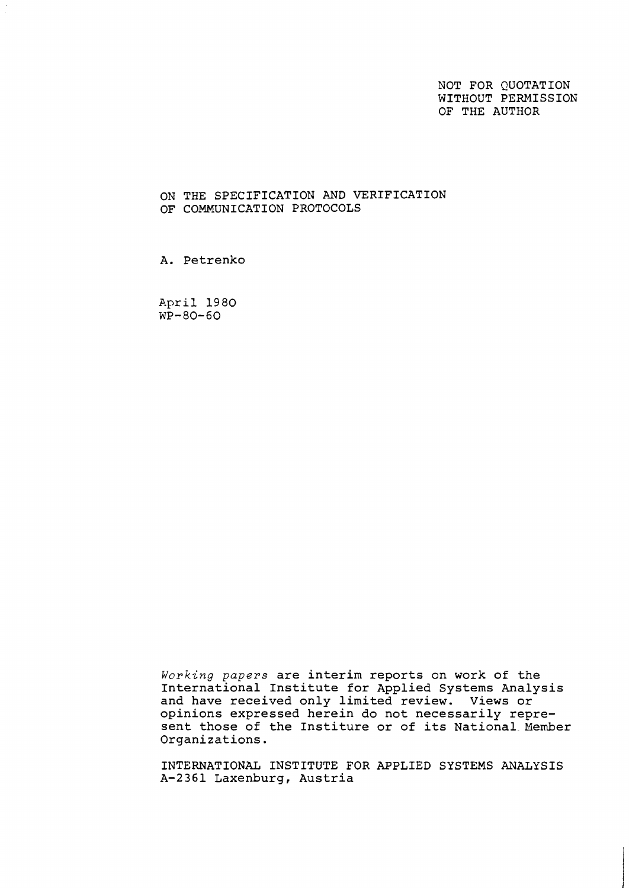NOT FOR QUOTATION WITHOUT PERMISSION OF THE AUTHOR

### ON THE SPECIFICATION AND VERIFICATION OF COMMUNICATION PROTOCOLS

A. Petrenko

April 1980  $WP - 80 - 60$ 

Working papers are interim reports on work of the International Institute for Applied Systems Analysis and have received only limited review. Views or opinions expressed herein do not necessarily represent those of the Institure or of its National Member Organizations.

INTERNATIONAL INSTITUTE FOR APPLIED SYSTEMS ANALYSIS A-2361 Laxenburg, Austria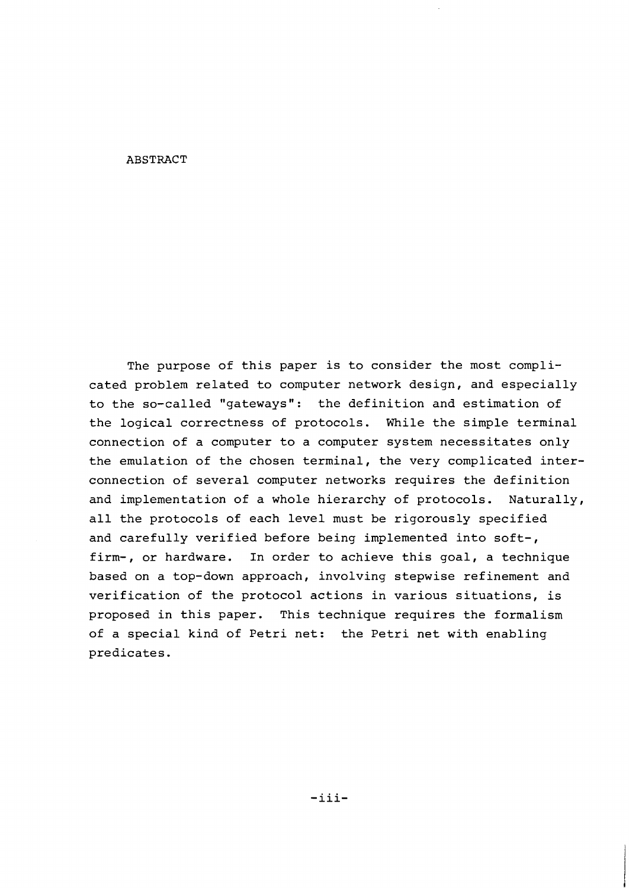### ABSTRACT

The purpose of this paper is to consider the most complicated problem related to computer network design, and especially to the so-called "gateways": the definition and estimation of the logical correctness of protocols. While the simple terminal connection of a computer to a computer system necessitates only the emulation of the chosen terminal, the very complicated interconnection of several computer networks requires the definition and implementation of a whole hierarchy of protocols. Naturally, all the protocols of each level must be rigorously specified and carefully verified before being implemented into soft-, firm-, or hardware. In order to achieve this goal, a technique based on a top-down approach, involving stepwise refinement and verification of the protocol actions in various situations, is proposed in this paper. This technique requires the formalism of a special kind of Petri net: the Petri net with enabling predicates.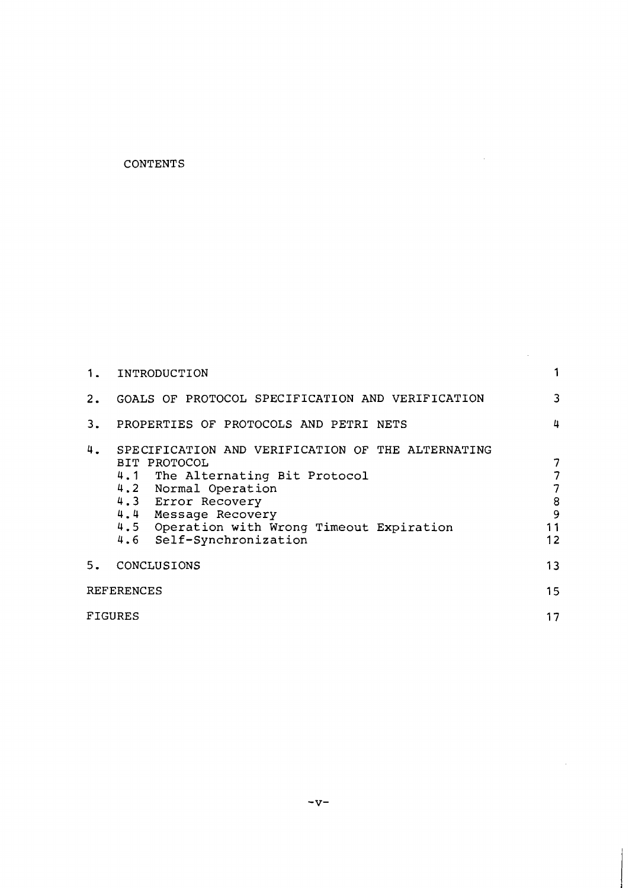# **CONTENTS**

|                   | 1. INTRODUCTION                                                                                                                                                                                                                                                    |   |  |  |
|-------------------|--------------------------------------------------------------------------------------------------------------------------------------------------------------------------------------------------------------------------------------------------------------------|---|--|--|
| 2.                | GOALS OF PROTOCOL SPECIFICATION AND VERIFICATION                                                                                                                                                                                                                   | 3 |  |  |
| 3.                | PROPERTIES OF PROTOCOLS AND PETRI NETS                                                                                                                                                                                                                             | 4 |  |  |
| 4.                | SPECIFICATION AND VERIFICATION OF THE ALTERNATING<br>BIT PROTOCOL<br>4.1 The Alternating Bit Protocol<br>4.2 Normal Operation<br>4.3 Error Recovery<br>4.4 Message Recovery<br>11<br>4.5 Operation with Wrong Timeout Expiration<br>12<br>4.6 Self-Synchronization |   |  |  |
| 5.                | CONCLUSIONS                                                                                                                                                                                                                                                        |   |  |  |
| <b>REFERENCES</b> |                                                                                                                                                                                                                                                                    |   |  |  |
|                   | FIGURES                                                                                                                                                                                                                                                            |   |  |  |

 $\mathcal{L}_{\text{max}}$  and  $\mathcal{L}_{\text{max}}$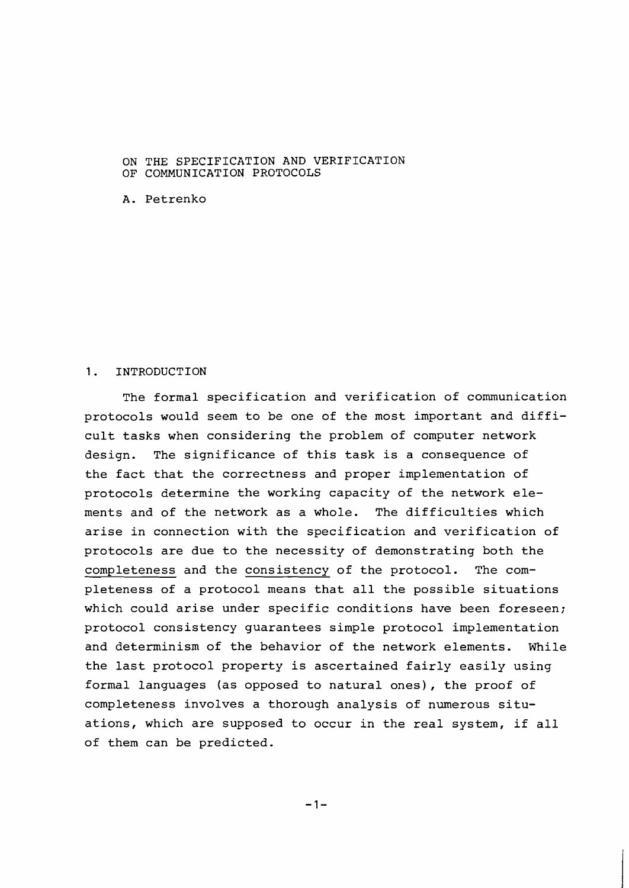### ON THE SPECIFICATION AND VERIFICATION OF COMMUNICATION PROTOCOLS

A. Petrenko

#### <sup>1</sup>. INTRODUCTION

The formal specification and verification of communication protocols would seem to be one of the most important and difficult tasks when considering the problem of computer network design. The significance of this task is a consequence of the fact that the correctness and proper implementation of protocols determine the working capacity of the network elements and of the network as a whole. The difficulties which arise in connection with the specification and verification of protocols are due to the necessity of demonstrating both the completeness and the consistency of the protocol. The completeness of a protocol means that all the possible situations which could arise under specific conditions have been foreseen; protocol consistency guarantees simple protocol implementation and determinism of the behavior of the network elements. While the last protocol property is ascertained fairly easily using formal languages (as opposed to natural ones), the proof of completeness involves a thorough analysis of numerous situations, which are supposed to occur in the real system, if all of them can be predicted.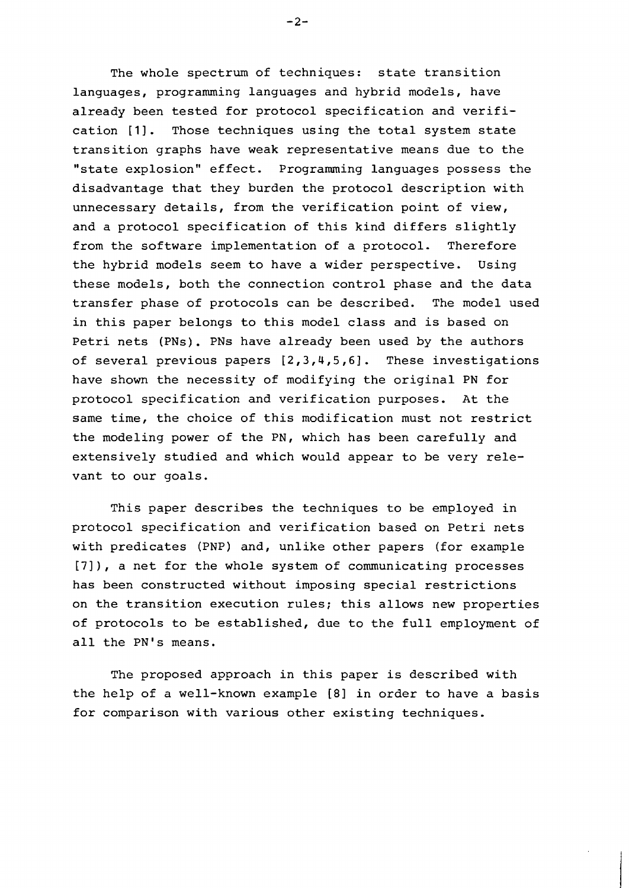The whole spectrum of techniques: state transition languages, programming languages and hybrid models, have already been tested for protocol specification and verification [I]. Those techniques using the total system state transition graphs have weak representative means due to the "state explosion" effect. Programming languages possess the disadvantage that they burden the protocol description with unnecessary details, from the verification point of view, and a protocol specification of this kind differs slightly from the software implementation of a protocol. Therefore the hybrid models seem to have a wider perspective. Using these models, both the connection control phase and the data transfer phase of protocols can be described. The model used in this paper belongs to this model class and is based on Petri nets (PNs). PNs have already been used by the authors of several previous papers **[2,3,4,5,6].** These investigations have shown the necessity of modifying the original PN for protocol specification and verification purposes. At the same time, the choice of this modification must not restrict the modeling power of the PN, which has been carefully and extensively studied and which would appear to be very relevant to our goals.

This paper describes the techniques to be employed in protocol specification and verification based on Petri nets with predicates (PNP) and, unlike other papers (for example [7]), a net for the whole system of communicating processes has been constructed without imposing special restrictions on the transition execution rules; this allows new properties of protocols to be established, due to the full employment of all the PN's means.

The proposed approach in this paper is described with the help of a well-known example [8] in order to have a basis for comparison with various other existing techniques.

 $-2-$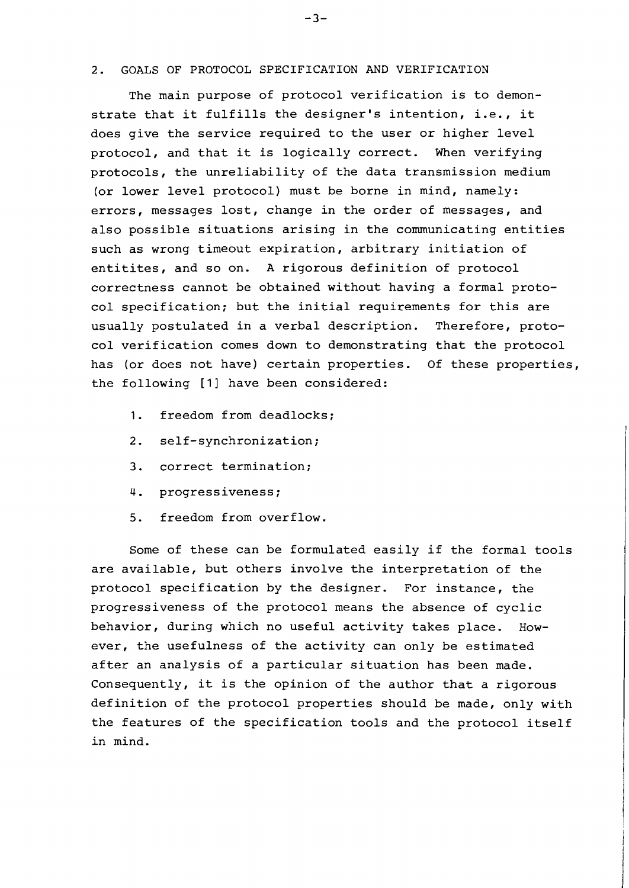### 2. GOALS OF PROTOCOL SPECIFICATION AND VERIFICATION

The main purpose of protocol verification is to demonstrate that it fulfills the designer's intention, i.e., it does give the service required to the user or higher level protocol, and that it is logically correct. When verifying protocols, the unreliability of the data transmission medium (or lower level protocol) must be borne in mind, namely: errors, messages lost, change in the order of messages, and also possible situations arising in the communicating entities such as wrong timeout expiration, arbitrary initiation of entitites, and so on. A rigorous definition of protocol correctness cannot be obtained without having a formal protocol specification; but the initial requirements for this are usually postulated in a verbal description. Therefore, protocol verification comes down to demonstrating that the protocol has (or does not have) certain properties. Of these properties, the following [I] have been considered:

- 1. freedom from deadlocks;
- 2. self-synchronization;
- 3. correct termination;
- 4. progressiveness;
- 5. freedom from overflow.

Some of these can be formulated easily if the formal tools are available, but others involve the interpretation of the protocol specification by the designer. For instance, the progressiveness of the protocol means the absence of cyclic behavior, during which no useful activity takes place. However, the usefulness of the activity can only be estimated after an analysis of a particular situation has been made. Consequently, it is the opinion of the author that a rigorous definition of the protocol properties should be made, only with the features of the specification tools and the protocol itself in mind.

 $-3-$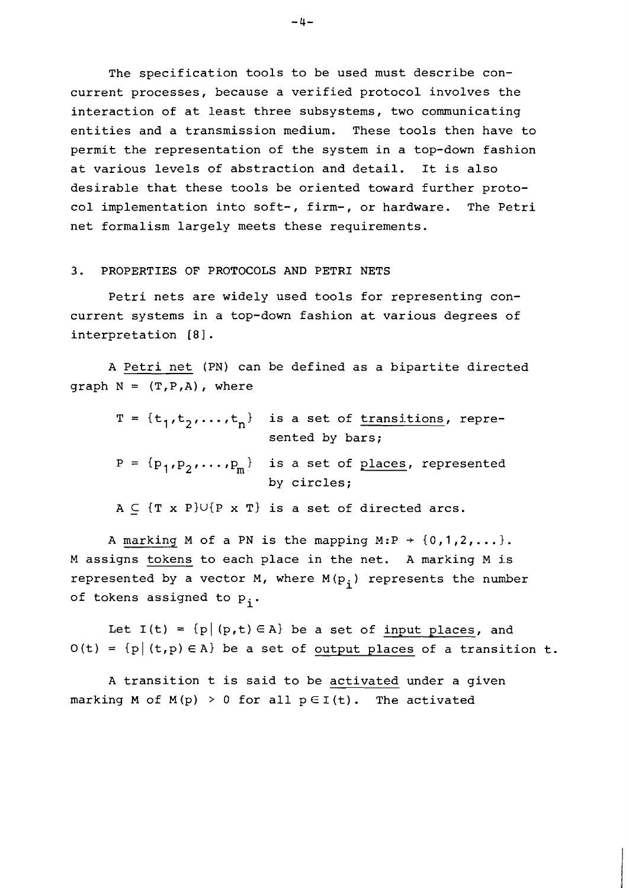The specification tools to be used must describe concurrent processes, because a verified protocol involves the interaction of at least three subsystems, two communicating entities and a transmission medium. These tools then have to permit the representation of the system in a top-down fashion at various levels of abstraction and detail. It is also desirable that these tools be oriented toward further protocol implementation into soft-, firm-, or hardware. The Petri net formalism largely meets these requirements.

### 3. PROPERTIES OF PROTOCOLS AND PETRI NETS

Petri nets are widely used tools for representing concurrent systems in a top-down fashion at various degrees of interpretation [8].

A Petri net (PN) can be defined as a bipartite directed graph  $N = (T, P, A)$ , where

|  | $T = \{t_1, t_2, , t_n\}$ is a set of transitions, repre-<br>sented by bars; |
|--|------------------------------------------------------------------------------|
|  | $P = {p_1, p_2, , p_m}$ is a set of places, represented<br>by circles;       |
|  | $A \subset \{T \times P\} \cup \{P \times T\}$ is a set of directed arcs.    |

A marking M of a PN is the mapping M:P  $\rightarrow$  {0,1,2,...}. M assigns tokens to each place in the net. A marking M is represented by a vector M, where  $M(p_i)$  represents the number of tokens assigned to  $p_i$ .

Let  $I(t) = {p | (p,t) \in A}$  be a set of input places, and  $O(t) = {p | (t, p) \in A}$  be a set of output places of a transition t.

A transition t is said to be activated under a given marking M of  $M(p) > 0$  for all  $p \in I(t)$ . The activated

 $-4-$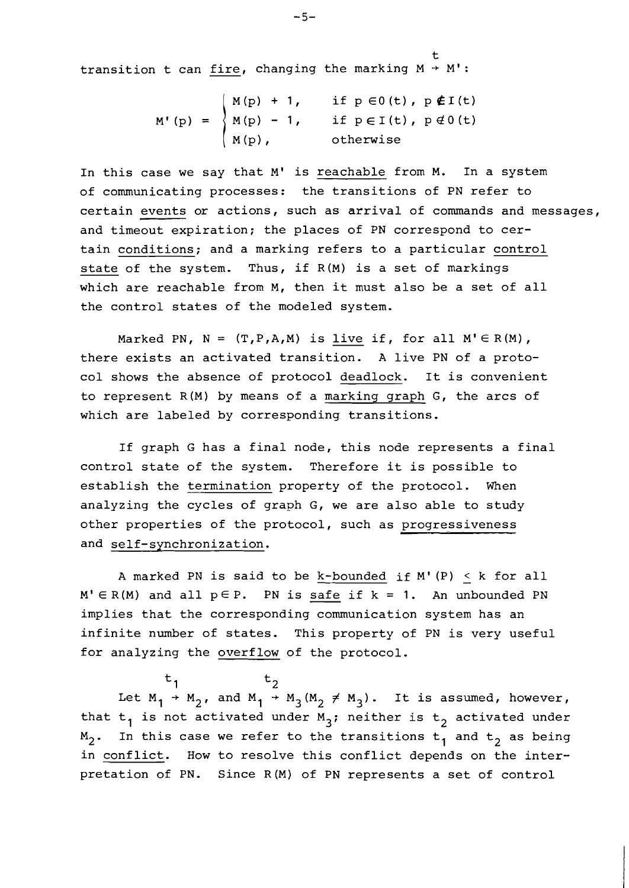t transition t can  $\underline{fire}$ , changing the marking  $M \rightarrow M'$ :

> if  $p \in 0(t)$ ,  $p \notin I(t)$ if  $p \in I(t)$ ,  $p \notin 0(t)$ otherwise

In this case we say that M' is reachable from M. In a system of communicating processes: the transitions of PN refer to certain events or actions, such as arrival of commands and messages, and timeout expiration; the places of PN correspond to certain conditions; and a marking refers to a particular control state of the system. Thus, if R(M) is a set of markings which are reachable from M, then it must also be a set of all the control states of the modeled system.

Marked PN,  $N = (T, P, A, M)$  is live if, for all  $M' \in R(M)$ , there exists an activated transition. A live PN of a protocol shows the absence of protocol deadlock. It is convenient to represent R(M) by means of a marking graph G, the arcs of which are labeled by corresponding transitions.

If graph G has a final node, this node represents a final control state of the system. Therefore it is possible to establish the termination property of the protocol. When analyzing the cycles of graph G, we are also able to study other properties of the protocol, such as progressiveness and self-synchronization.

A marked PN is said to be k-bounded if  $M' (P) < k$  for all  $M' \in R(M)$  and all  $p \in P$ . PN is safe if  $k = 1$ . An unbounded PN implies that the corresponding communication system has an infinite number of states. This property of PN is very useful for analyzing the overflow of the protocol.

 $\begin{array}{ccc} \iota_1 & \iota_2 & \iota_3 \end{array}$ Let  $M_1$  +  $M_2$ , and  $M_1$  +  $M_3(M_2 \neq M_3)$ . It is assumed, however, that  $t_1$  is not activated under M<sub>3</sub>; neither is  $t_2$  activated under  $M_2$ . In this case we refer to the transitions  $t_1$  and  $t_2$  as being in conflict. How to resolve this conflict depends on the interpretation of PN. Since R(M) of PN represents a set of control

 $-5-$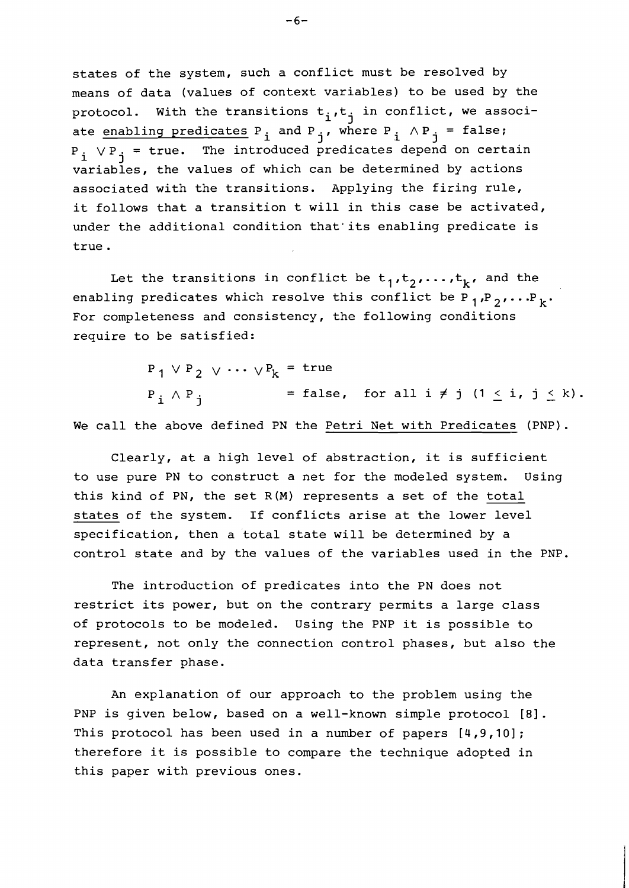states of the system, such a conflict must be resolved by means of data (values of context variables) to be used by the protocol. With the transitions  $t_i, t_j$  in conflict, we associate enabling predicates  $P_i$  and  $P_j$ , where  $P_i \wedge P_j = false$ ;  $P_i$   $\vee P_j$  = true. The introduced predicates depend on certain variables, the values of which can be determined by actions associated with the transitions. Applying the firing rule, it follows that a transition t will in this case be activated, under the additional condition that'its enabling predicate is true.

Let the transitions in conflict be  $t_1,t_2,\ldots,t_k$ , and the enabling predicates which resolve this conflict be  $P_1, P_2, \ldots P_k$ . For completeness and consistency, the following conditions require to be satisfied:

> $P_1$  V  $P_2$  v  $\cdots$  v  $P_k$  = true  $P_i \wedge P_j$  = false, for all  $i \neq j$   $(1 \leq i, j \leq k)$ .

We call the above defined PN the Petri Net with Predicates (PNP).

Clearly, at a high level of abstraction, it is sufficient to use pure PN to construct a net for the modeled system. Using this kind of PN, the set R(M) represents a set of the total states of the system. If conflicts arise at the lower level specification, then a total state will be determined by a control state and by the values of the variables used in the PNP.

The introduction of predicates into the PN does not restrict its power, but on the contrary permits a large class of protocols to be modeled. Using the PNP it is possible to represent, not only the connection control phases, but also the data transfer phase.

An explanation of our approach to the problem using the PNP is given below, based on a well-known simple protocol **[81.**  This protocol has been used in a number of papers [4,9,10] ; therefore it is possible to compare the technique adopted in this paper with previous ones.

 $-6-$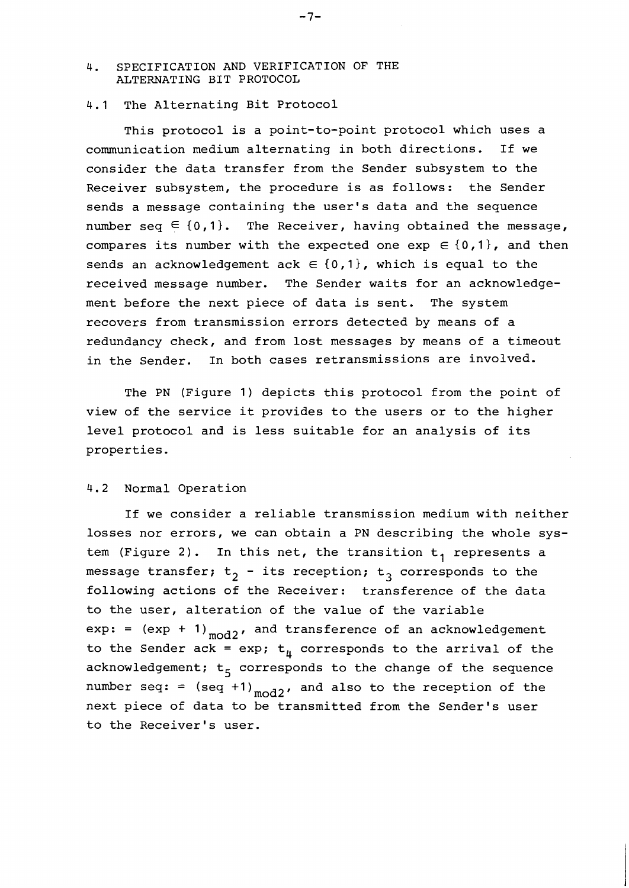# 4. SPECIFICATION AND VERIFICATION OF THE ALTERNATING BIT PROTOCOL

# 4.1 The Alternating Bit Protocol

This protocol is a point-to-point protocol which uses a communication medium alternating in both directions. If we consider the data transfer from the Sender subsystem to the Receiver subsystem, the procedure is as follows: the Sender sends a message containing the user's data and the sequence number seq  $\in$  {0,1}. The Receiver, having obtained the message, compares its number with the expected one  $\exp \in \{0,1\}$ , and then sends an acknowledgement ack  $\in$  {0,1}, which is equal to the received message number. The Sender waits for an acknowledgement before the next piece of data is sent. The system recovers from transmission errors detected by means of a redundancy check, and from lost messages by means of a timeout in the Sender. In both cases retransmissions are involved.

The PN (Figure 1) depicts this protocol from the point of view of the service it provides to the users or to the higher level protocol and is less suitable for an analysis of its properties.

### 4.2 Normal Operation

If we consider a reliable transmission medium with neither losses nor errors, we can obtain a PN describing the whole system (Figure 2). In this net, the transition  $t_1$  represents a message transfer;  $t_2$  - its reception;  $t_3$  corresponds to the following actions of the Receiver: transference of the data to the user, alteration of the value of the variable  $exp: = (exp + 1)_{mod 2}$ , and transference of an acknowledgement to the Sender ack = exp;  $t_{\mu}$  corresponds to the arrival of the acknowledgement;  $t_5$  corresponds to the change of the sequence number seq: =  $(\text{seq } + 1)_{\text{mod } 2}$ , and also to the reception of the next piece of data to be transmitted from the Sender's user to the Receiver's user.

 $-7-$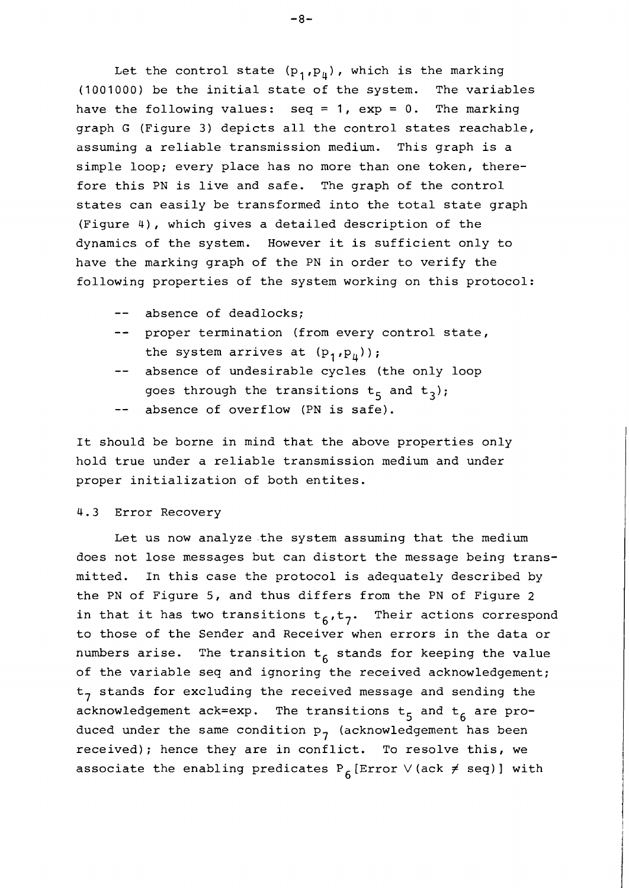Let the control state  $(p_1,p_4)$ , which is the marking (1001000) be the initial state of the system. The variables have the following values: seq = 1,  $exp = 0$ . The marking graph G (Figure 3) depicts all the control states reachable, assuming a reliable transmission medium. This graph is a simple loop; every place has no more than one token, therefore this PN is live and safe. The graph of the control states can easily be transformed into the total state graph (Figure 4), which gives a detailed description of the dynamics of the system. However it is sufficient only to have the marking graph of the PN in order to verify the following properties of the system working on this protocol:

- -- absence of deadlocks;
- -- proper termination (from every control state, the system arrives at  $(p_1,p_{ij})$ ;
- -- absence of undesirable cycles (the only loop goes through the transitions  $t_5$  and  $t_3$ );
- -- absence of overflow (PN is safe).

It should be borne in mind that the above properties only hold true under a reliable transmission medium and under proper initialization of both entites.

## 4.3 Error Recovery

Let us now analyze.the system assuming that the medium does not lose messages but can distort the message being transmitted. In this case the protocol is adequately described by the PN of Figure 5, and thus differs from the PN of Figure 2 in that it has two transitions  $t_6, t_7$ . Their actions correspond to those of the Sender and Receiver when errors in the data or numbers arise. The transition  $t_6$  stands for keeping the value of the variable seq and ignoring the received acknowledgement;  $t<sub>7</sub>$  stands for excluding the received message and sending the acknowledgement ack=exp. The transitions  $t_5$  and  $t_6$  are produced under the same condition  $p_{7}$  (acknowledgement has been received); hence they are in conflict. To resolve this, we associate the enabling predicates  $P_{6}$ [Error V(ack  $\neq$  seq)] with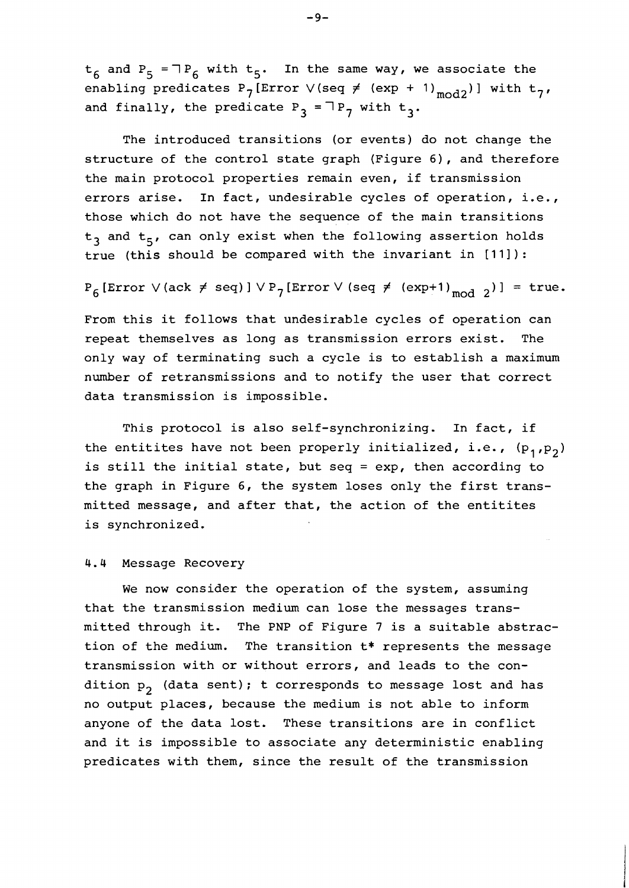$t_6$  and  $P_5$  =  $\supset P_6$  with  $t_5$ . In the same way, we associate the enabling predicates P<sub>7</sub>[Error V(seq  $\neq$  (exp + 1)<sub>mod2</sub>)] with t<sub>7</sub>, and finally, the predicate  $P_3 = \exists P_7$  with  $t_3$ .

The introduced transitions (or events) do not change the structure of the control state graph (Figure 6), and therefore the main protocol properties remain even, if transmission errors arise. In fact, undesirable cycles of operation, i.e., those which do not have the sequence of the main transitions  $t<sub>3</sub>$  and  $t<sub>5</sub>$ , can only exist when the following assertion holds true (this should be compared with the invariant in [11]):

 $P_6$  [Error  $\vee$  (ack  $\neq$  seq) ]  $\vee$   $P_7$  [Error  $\vee$  (seq  $\neq$  (exp+1)<sub>mod 2</sub>)] = true.

From this it follows that undesirable cycles of operation can repeat themselves as long as transmission errors exist. The only way of terminating such a cycle is to establish a maximum number of retransmissions and to notify the user that correct data transmission is impossible.

This protocol is also self-synchronizing. In fact, if the entitites have not been properly initialized, i.e.,  $(p_1,p_2)$ is still the initial state, but seq = exp, then according to the graph in Figure 6, the system loses only the first transmitted message, and after that, the action of the entitites is synchronized.

# 4.4 Message Recovery

We now consider the operation of the system, assuming that the transmission medium can lose the messages transmitted through it. The PNP of Figure 7 is a suitable abstraction of the medium. The transition t\* represents the message transmission with or without errors, and leads to the condition  $p_2$  (data sent); t corresponds to message lost and has no output places, because the medium is not able to inform anyone of the data lost. These transitions are in conflict and it is impossible to associate any deterministic enabling predicates with them, since the result of the transmission

 $-9-$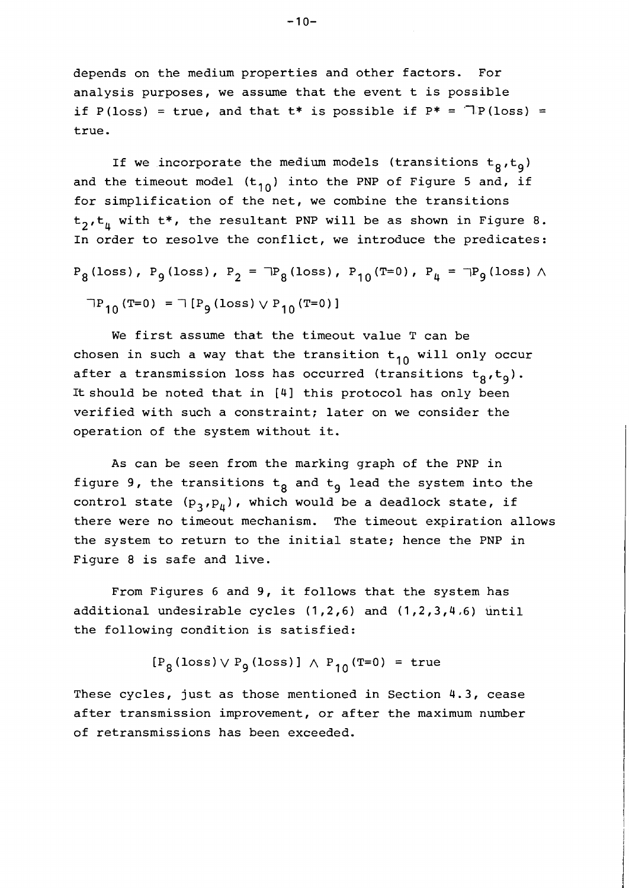depends on the medium properties and other factors. For analysis purposes, we assume that the event t is possible if P(loss) = true, and that  $t^*$  is possible if  $P^* = \text{Tr}(loss) =$ true.

If we incorporate the medium models (transitions  $t_8,t_9$ ) and the timeout model  $(t_{10})$  into the PNP of Figure 5 and, if for simplification of the net, we combine the transitions  $t_2, t_4$  with  $t^*$ , the resultant PNP will be as shown in Figure 8. In order to resolve the conflict, we introduce the predicates:

$$
P_8
$$
(loss),  $P_9$ (loss),  $P_2 = \exists P_8$ (loss),  $P_{10}$ (T=0),  $P_4 = \exists P_9$ (loss)  $\land$   
 $\exists P_{10}$ (T=0) =  $\exists [P_9$ (loss)  $\lor P_{10}$ (T=0)]

We first assume that the timeout value T can be chosen in such a way that the transition  $t_{10}$  will only occur after a transmission loss has occurred (transitions  $t_g, t_g$ ). It should be noted that in [4] this protocol has only been verified with such a constraint; later on we consider the operation of the system without it.

As can be seen from the marking graph of the PNP in figure 9, the transitions  $t_8$  and  $t_9$  lead the system into the control state  $(p_3, p_4)$ , which would be a deadlock state, if there were no timeout mechanism. The timeout expiration allows the system to return to the initial state; hence the PNP in Figure 8 is safe and live.

From Figures 6 and 9, it follows that the system has additional undesirable cycles (1,2,6) and (1,2,3,4,6) until the following condition is satisfied:

$$
[P_{\mathsf{R}}(\text{loss}) \vee P_{\mathsf{q}}(\text{loss})] \wedge P_{\mathsf{10}}(\text{T=0}) = \text{true}
$$

These cycles, just as those mentioned in Section 4.3, cease after transmission improvement, or after the maximum number of retransmissions has been exceeded.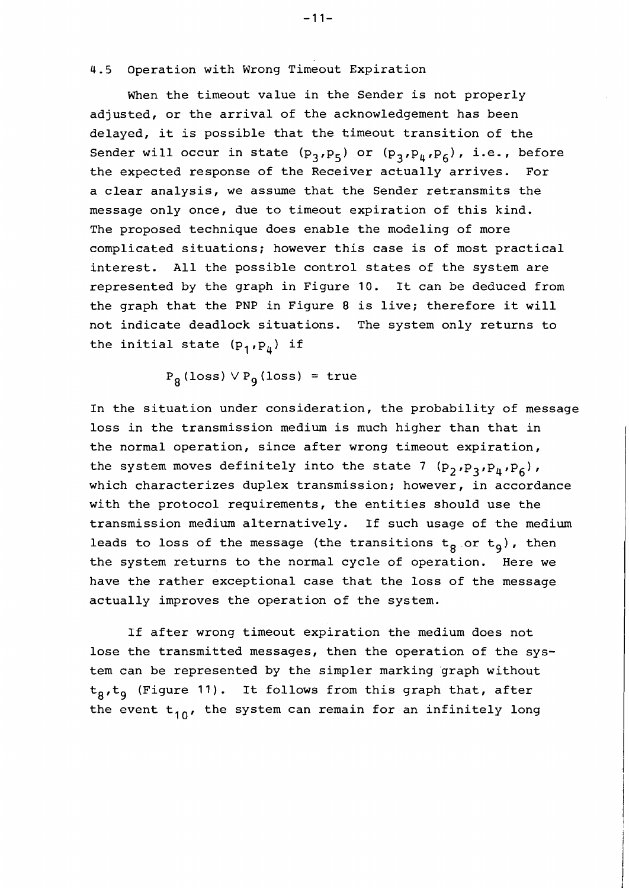# 4.5 Operation with Wrong Timeout Expiration

When the timeout value in the Sender is not properly adjusted, or the arrival of the acknowledgement has been delayed, it is possible that the timeout transition of the Sender will occur in state  $(p_3,p_5)$  or  $(p_3,p_{\mu},p_6)$ , i.e., before the expected response of the Receiver actually arrives. For a clear analysis, we assume that the Sender retransmits the message only once, due to timeout expiration of this kind. The proposed technique does enable the modeling of more complicated situations; however this case is of most practical interest. All the possible control states of the system are represented by the graph in Figure 10. It can be deduced from the graph that the PNP in Figure 8 is live; therefore it will not indicate deadlock situations. The system only returns to the initial state  $(p_1, p_{\mu})$  if

 $P_8$  (loss)  $\vee P_9$  (loss) = true

In the situation under consideration, the probability of message loss in the transmission medium is much higher than that in the normal operation, since after wrong timeout expiration, the system moves definitely into the state 7  $(p_2, p_3, p_4, p_6)$ , which characterizes duplex transmission; however, in accordance with the protocol requirements, the entities should use the transmission medium alternatively. If such usage of the medium leads to loss of the message (the transitions  $t_g$  or  $t_g$ ), then the system returns to the normal cycle of operation. Here we have the rather exceptional case that the loss of the message actually improves the operation of the system.

If after wrong timeout expiration the medium does not lose the transmitted messages, then the operation of the system can be represented by the simpler marking 'graph without  $t_g, t_g$  (Figure 11). It follows from this graph that, after the event  $t_{10}$ , the system can remain for an infinitely long

 $-11-$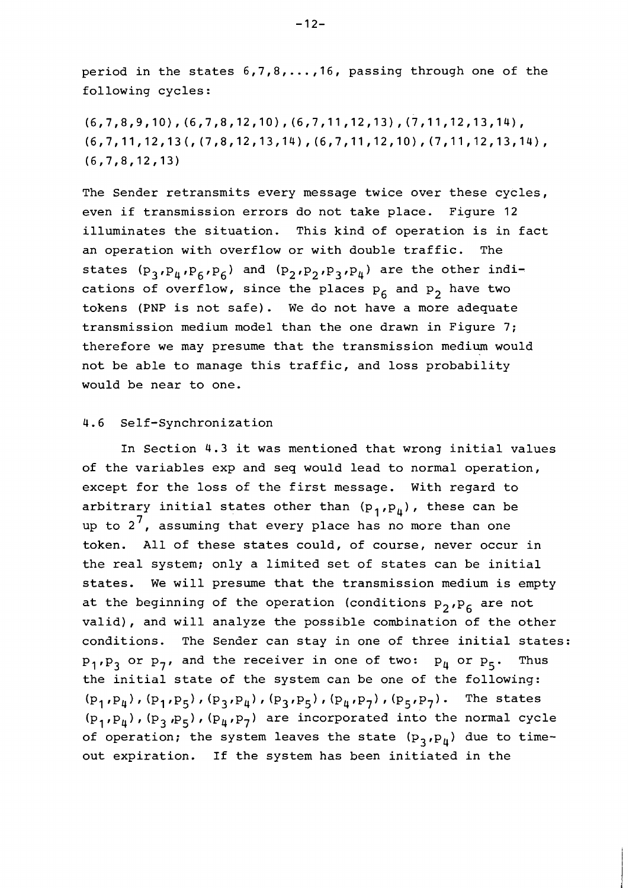period in the states 6,7,8, ..., 16, passing through one of the following cycles:

 $(6, 7, 8, 9, 10)$ ,  $(6, 7, 8, 12, 10)$ ,  $(6, 7, 11, 12, 13)$ ,  $(7, 11, 12, 13, 14)$ ,  $(6, 7, 11, 12, 13, (7, 8, 12, 13, 14), (6, 7, 11, 12, 10), (7, 11, 12, 13, 14),$  $(6, 7, 8, 12, 13)$ 

The Sender retransmits every message twice over these cycles, even if transmission errors do not take place. Figure 12 illuminates the situation. This kind of operation is in fact an operation with overflow or with double traffic. The states  $(p_3, p_4, p_6, p_6)$  and  $(p_2, p_2, p_3, p_4)$  are the other indications of overflow, since the places  $p_6$  and  $p_2$  have two tokens (PNP is not safe). We do not have a more adequate transmission medium model than the one drawn in Figure 7; therefore we may presume that the transmission medium would not be able to manage this traffic, and loss probability would be near to one.

# 4.6 Self-Synchronization

In Section 4.3 it was mentioned that wrong initial values of the variables exp and seq would lead to normal operation, except for the loss of the first message. With regard to arbitrary initial states other than  $(p_1,p_4)$ , these can be up to  $2^7$ , assuming that every place has no more than one token. All of these states could, of course, never occur in the real system; only a limited set of states can be initial states. We will presume that the transmission medium is empty at the beginning of the operation (conditions  $P_2,P_6$  are not valid), and will analyze the possible combination of the other conditions. The Sender can stay in one of three initial states:  $p_1, p_3$  or  $p_7$ , and the receiver in one of two:  $p_{\mu}$  or  $p_{5}$ . Thus the initial state of the system can be one of the following: (P<sub>1</sub>, P<sub>4</sub>), (P<sub>1</sub>, P<sub>5</sub>), (P<sub>3</sub>, P<sub>4</sub>), (P<sub>3</sub>, P<sub>5</sub>), (P<sub>4</sub>, P<sub>7</sub>), (P<sub>5</sub>, P<sub>7</sub>). The states  $(p_1, p_4)$ ,  $(p_3, p_5)$ ,  $(p_4, p_7)$  are incorporated into the normal cycle of operation; the system leaves the state  $(p_3, p_4)$  due to timeout expiration. If the system has been initiated in the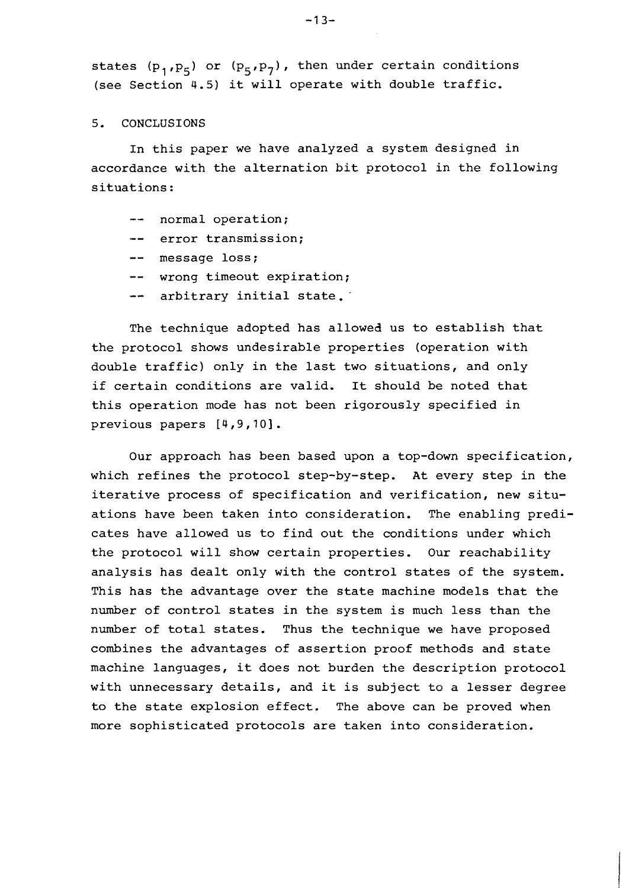states ( $p_1, p_5$ ) or ( $p_5, p_7$ ), then under certain conditions (see Section 4.5) it will operate with double traffic.

# 5. CONCLUSIONS

In this paper we have analyzed a system designed in accordance with the alternation bit protocol in the following situations:

- -- normal operation;
- -- error transmission;
- -- message loss;
- -- wrong timeout expiration;
- -- arbitrary initial state.

The technique adopted has allowed us to establish that the protocol shows undesirable properties (operation with double traffic) only in the last two situations, and only if certain conditions are valid. It should be noted that this operation mode has not been rigorously specified in previous papers [4,9,10].

Our approach has been based upon a top-down specification, which refines the protocol step-by-step. At every step in the iterative process of specification and verification, new situations have been taken into consideration. The enabling predicates have allowed us to find out the conditions under which the protocol will show certain properties. Our reachability analysis has dealt only with the control states of the system. This has the advantage over the state machine models that the number of control states in the system is much less than the number of total states. Thus the technique we have proposed combines the advantages of assertion proof methods and state machine languages, it does not burden the description protocol with unnecessary details, and it is subject to a lesser degree to the state explosion effect. The above can be proved when more sophisticated protocols are taken into consideration.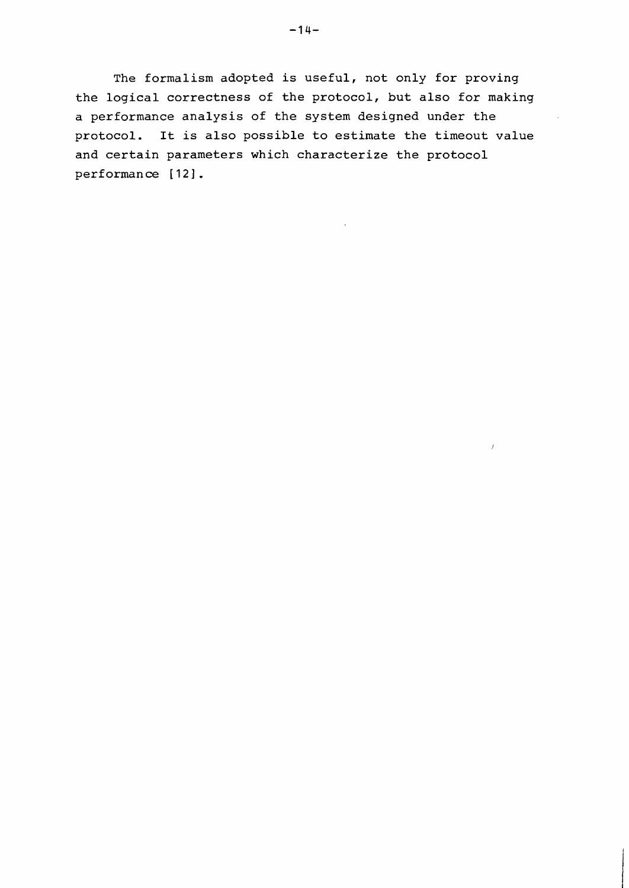**The formalism adopted is useful, not only for proving the logical correctness of the protocol, but also for making a performance analysis of the system designed under the protocol. It is also possible to estimate the timeout value and certain parameters which characterize the protocol performance [121.**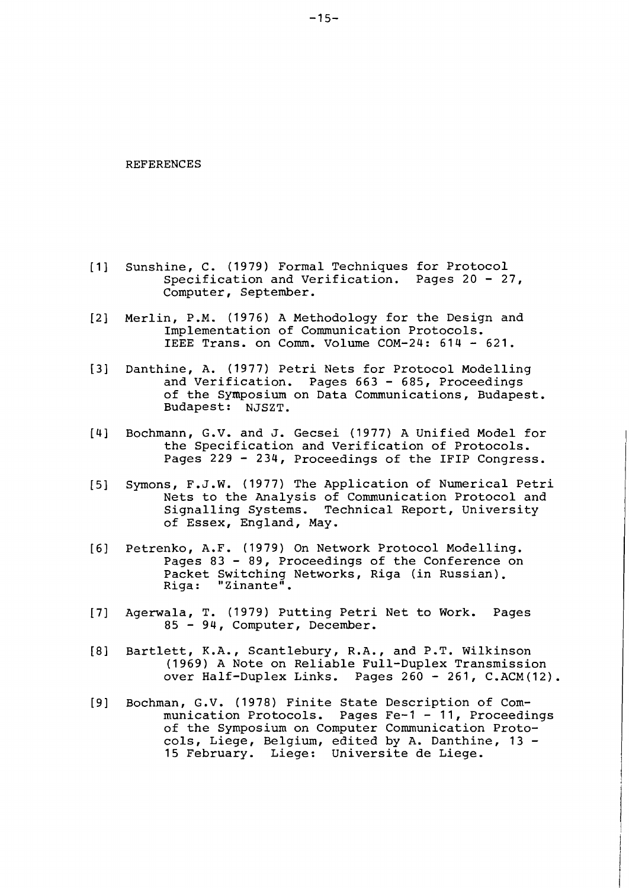#### REFERENCES

- $[1]$ Sunshine, C. (1979) Formal Techniques for Protocol Specification and Verification. Pages 20 - 27, Computer, September.
- $[2]$ Merlin, P.M. (1976) A Methodology for the Design and Implementation of Communication Protocols. IEEE Trans. on Comm. Volume COM-24: 614 - 621.
- $[3]$ Danthine, A. (1977) Petri Nets for Protocol Modelling<br>and Verification. Pages 663 - 685, Proceedings Pages  $663 - 685$ , Proceedings of the Symposium on Data Communications, Budapest. Budapest: NJSZT.
- $[4]$ Bochmann, G.V. and J. Gecsei (1977) A Unified Model for the Specification and Verification of Protocols. Pages 229 - 234, Proceedings of the IFIP Congress.
- Symons, F.J.W. (1977) The Application of Numerical Petri  $[5]$ Nets to the Analysis of Communication Protocol and Signalling Systems. Technical Report, University of Essex, England, May.
- $[6]$ Petrenko, A.F. (1979) On Network Protocol Modelling. Pages 83 - 89, Proceedings of the Conference on Packet Switching Networks, Riga (in Russian).<br>Riga: "Zinante". "Zinante".
- $[7]$ Agerwala, T. (1979) Putting Petri Net to Work. Pages <sup>85</sup>- 94, Computer, December.
- $[8]$ Bartlett, K.A., Scantlebury, R.A., and P.T. Wilkinson (1969) A Note on Reliable Full-Duplex Transmission over Half-Duplex Links. Pages 260 - 261, C.ACM(12).
- $[9]$ Bochman, G.V. (1978) Finite State Description of Communication Protocols. Pages Fe-1 - 11, Proceedings of the Symposium on Computer Communication Protocols, Liege, Belgium, edited by A. Danthine, 13 - 15 February. Liege: Universite de Liege.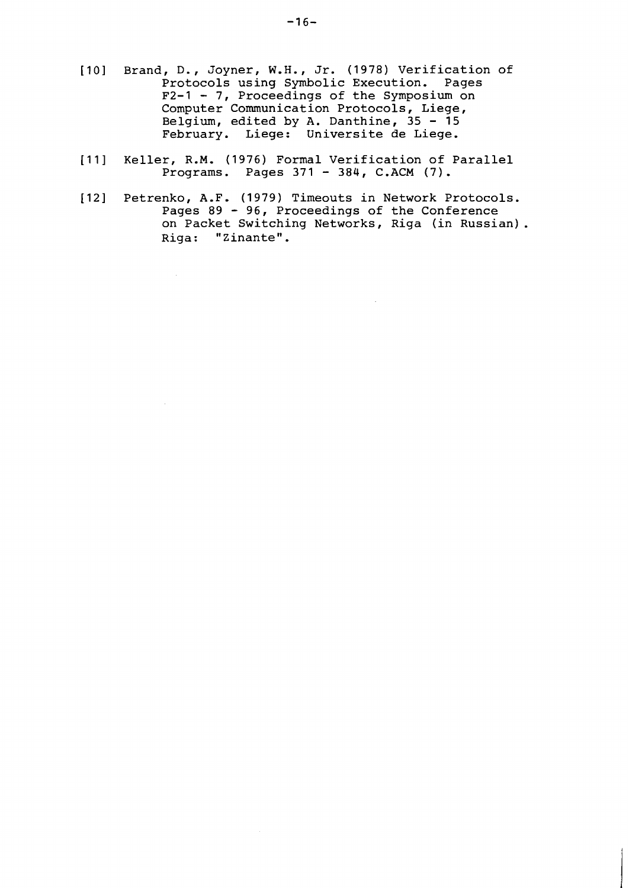- [lo] Brand, D., Joyner, W.H., Jr. (1978) Verification of Protocols using Symbolic Execution. Pages F2-1 - 7, Proceedings of the Symposium on Computer Communication Protocols, Liege, Belgium, edited by A. Danthine, 35 - <sup>15</sup> February. Liege: Universite de Liege.
- [11] Keller, R.M. (1976) Formal Verification of Parallel Programs. Pages 371 - 384, C.ACM (7).
- [I21 Petrenko, A.F. (1979) Timeouts in Network Protocols. Pages 89 96, Proceedings of the Conference on Packet Switching Networks, Riga (in Russian). Riga: "Zinante".

 $\mathcal{L}$ 

 $\sim 10^7$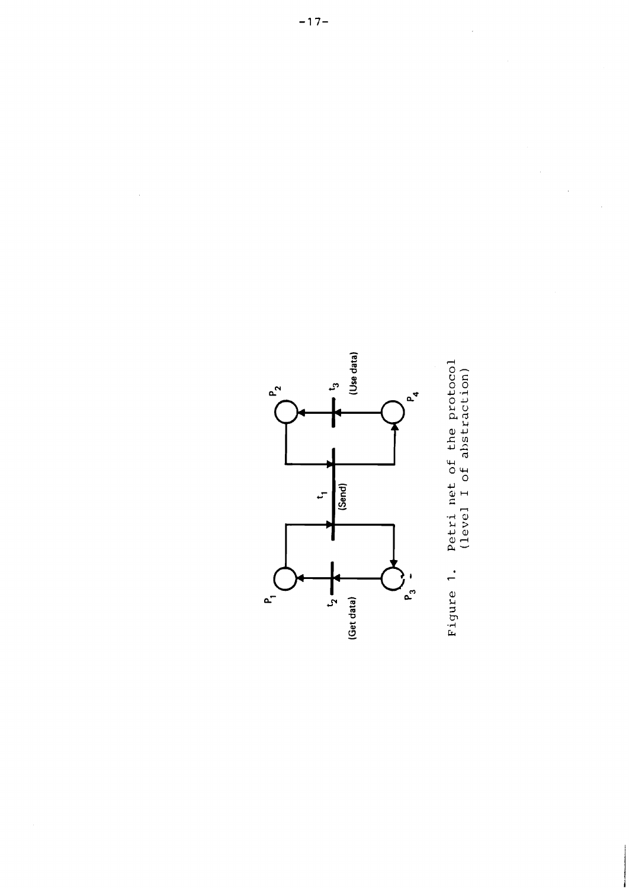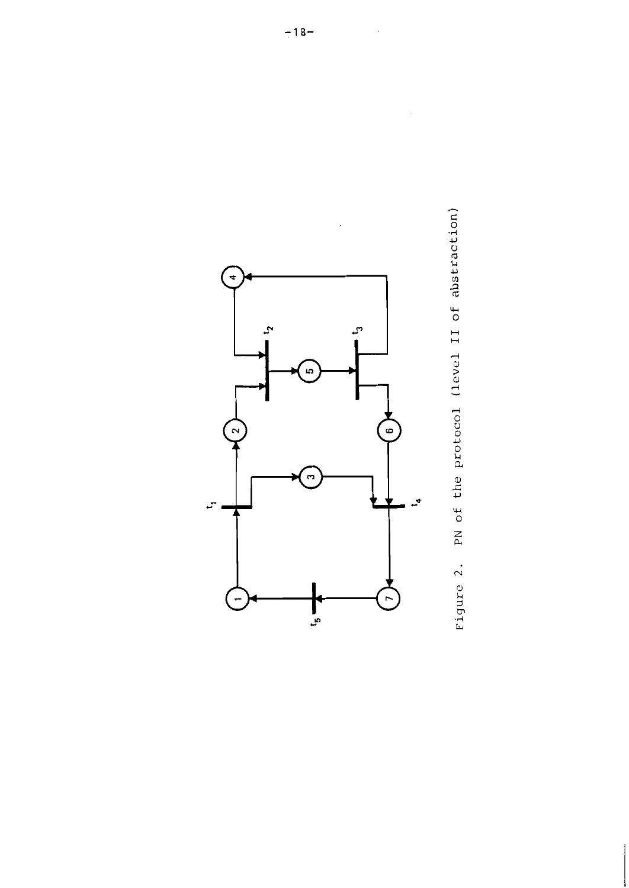



 $\bar{\phantom{a}}$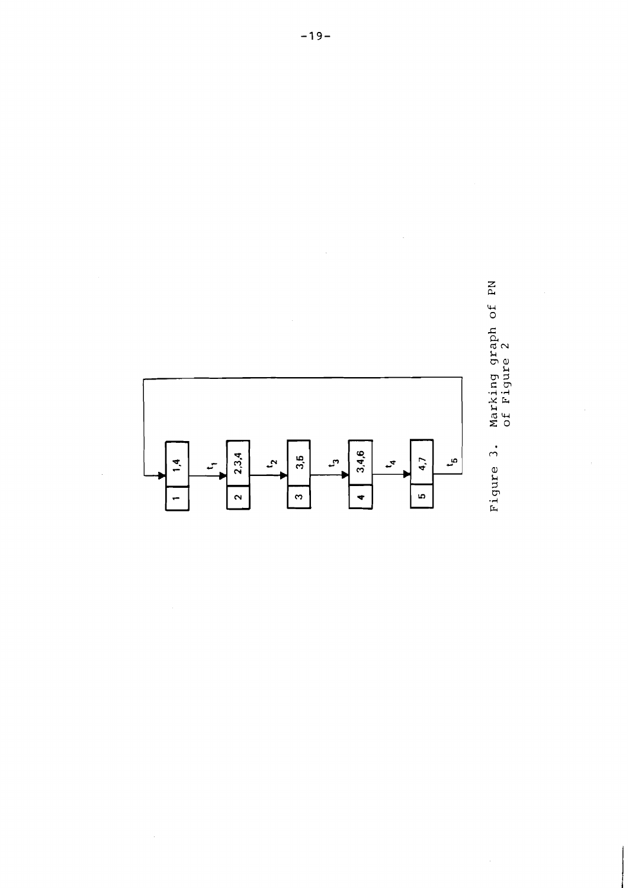

 $\hat{\boldsymbol{\gamma}}$ 



 $\frac{1}{2}$ 

ý.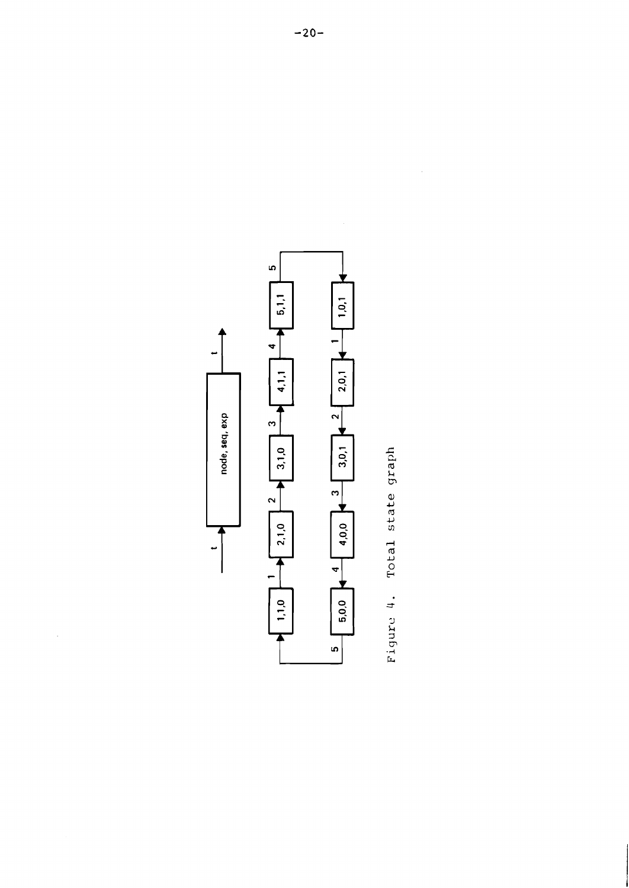$\hat{\mathcal{A}}$ 



 $\ddot{\phantom{0}}$ 

Figure 4. Total state graph

 $\hat{\mathcal{L}}$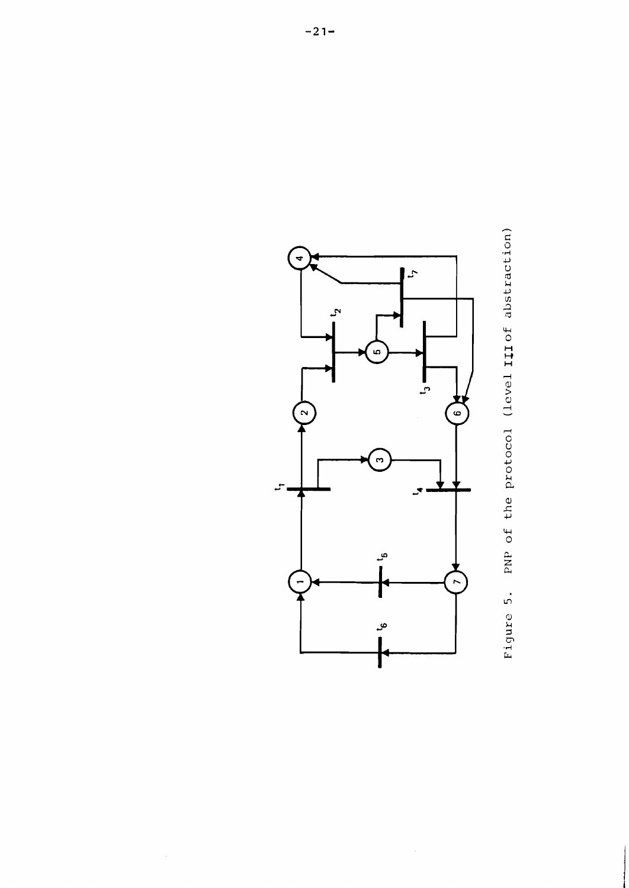

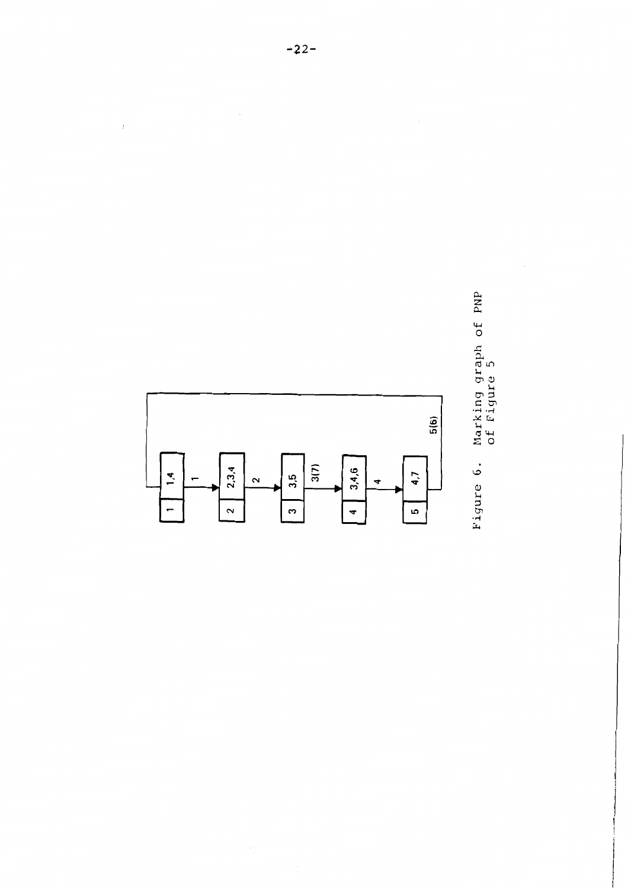

Marking graph of PNP<br>of Figure 5 Figure 6.

 $\bar{\mathcal{A}}$ 

 $\bar{1}$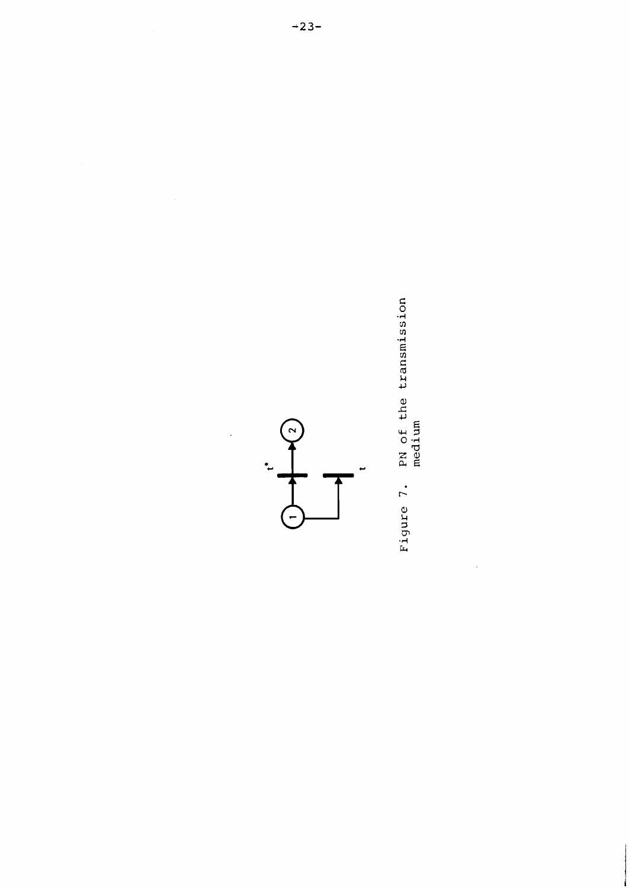

 $\ddot{\cdot}$ 

Figure 7. PN of the transmission

 $\frac{1}{\sqrt{2}}$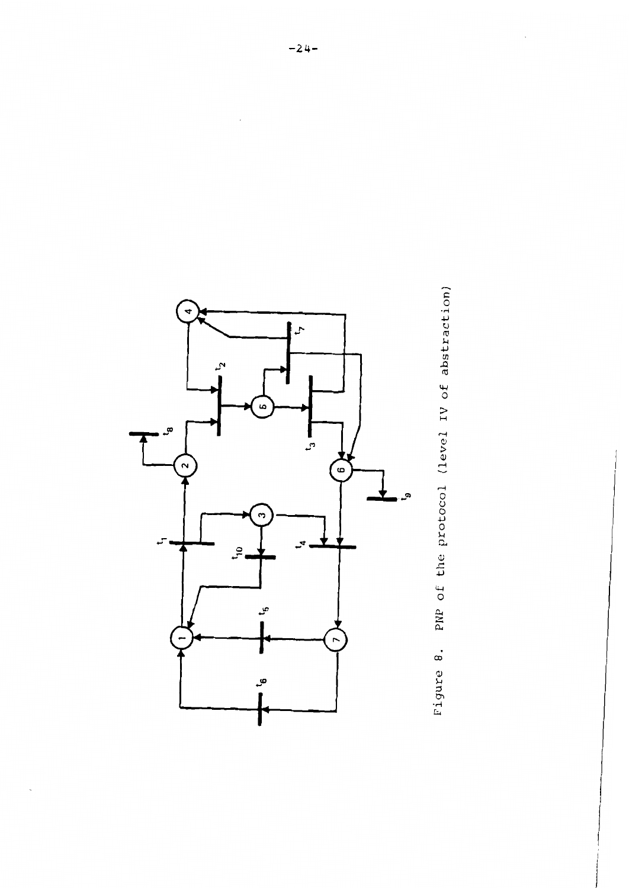

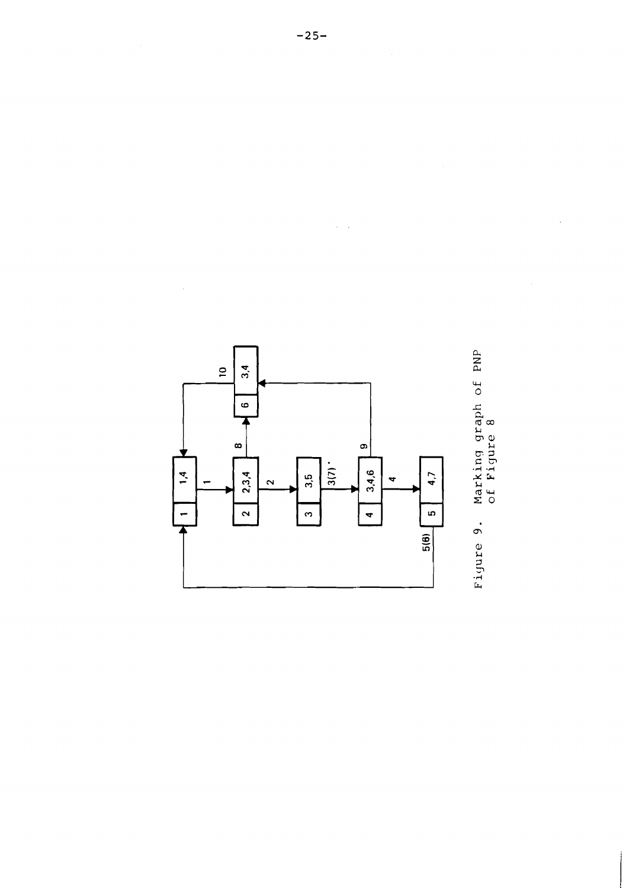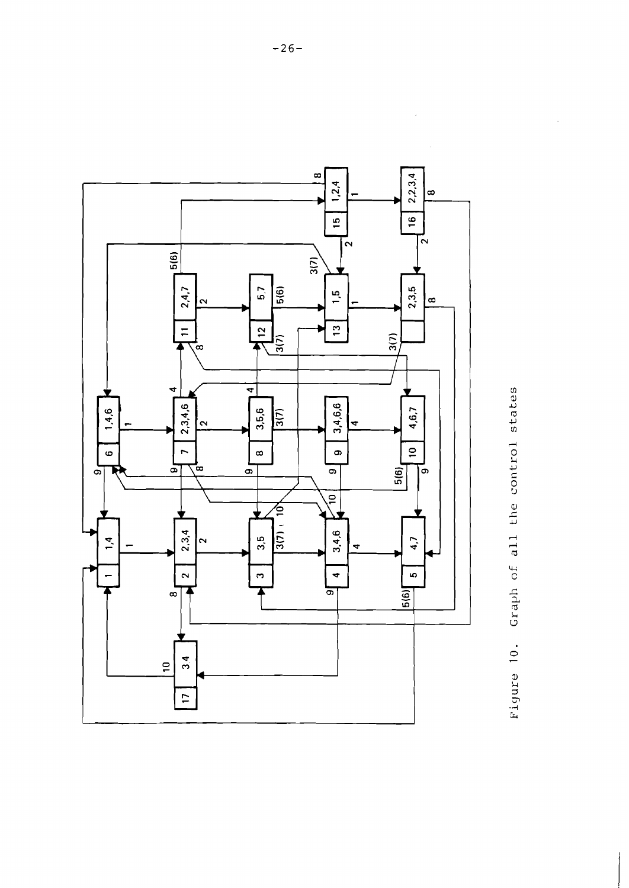

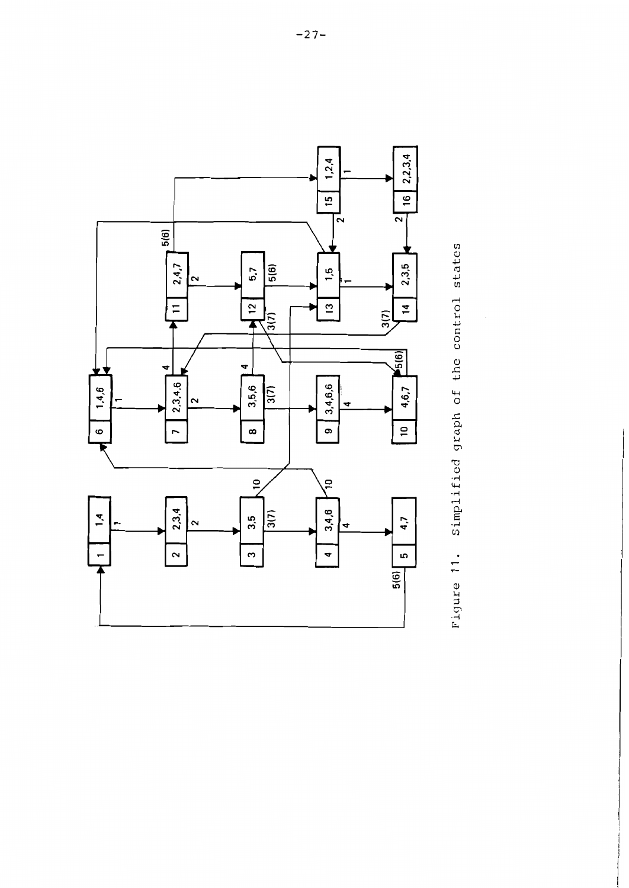